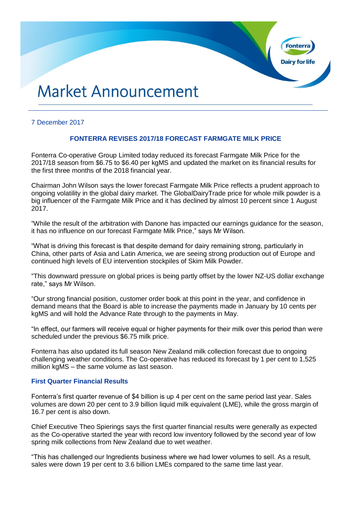# **Market Announcement**

## 7 December 2017

# **FONTERRA REVISES 2017/18 FORECAST FARMGATE MILK PRICE**

**Fonter** 

**Dairy for life** 

Fonterra Co-operative Group Limited today reduced its forecast Farmgate Milk Price for the 2017/18 season from \$6.75 to \$6.40 per kgMS and updated the market on its financial results for the first three months of the 2018 financial year.

Chairman John Wilson says the lower forecast Farmgate Milk Price reflects a prudent approach to ongoing volatility in the global dairy market. The GlobalDairyTrade price for whole milk powder is a big influencer of the Farmgate Milk Price and it has declined by almost 10 percent since 1 August 2017.

"While the result of the arbitration with Danone has impacted our earnings guidance for the season, it has no influence on our forecast Farmgate Milk Price," says Mr Wilson.

"What is driving this forecast is that despite demand for dairy remaining strong, particularly in China, other parts of Asia and Latin America, we are seeing strong production out of Europe and continued high levels of EU intervention stockpiles of Skim Milk Powder.

"This downward pressure on global prices is being partly offset by the lower NZ-US dollar exchange rate," says Mr Wilson.

"Our strong financial position, customer order book at this point in the year, and confidence in demand means that the Board is able to increase the payments made in January by 10 cents per kgMS and will hold the Advance Rate through to the payments in May.

"In effect, our farmers will receive equal or higher payments for their milk over this period than were scheduled under the previous \$6.75 milk price.

Fonterra has also updated its full season New Zealand milk collection forecast due to ongoing challenging weather conditions. The Co-operative has reduced its forecast by 1 per cent to 1,525 million kgMS – the same volume as last season.

## **First Quarter Financial Results**

Fonterra's first quarter revenue of \$4 billion is up 4 per cent on the same period last year. Sales volumes are down 20 per cent to 3.9 billion liquid milk equivalent (LME), while the gross margin of 16.7 per cent is also down.

Chief Executive Theo Spierings says the first quarter financial results were generally as expected as the Co-operative started the year with record low inventory followed by the second year of low spring milk collections from New Zealand due to wet weather.

"This has challenged our Ingredients business where we had lower volumes to sell. As a result, sales were down 19 per cent to 3.6 billion LMEs compared to the same time last year.